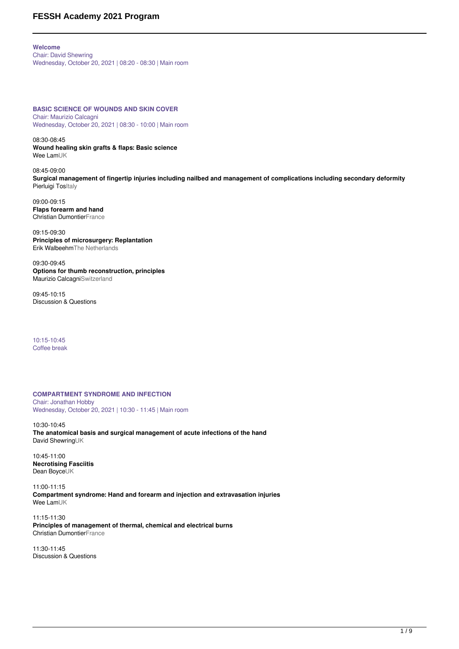# **FESSH Academy 2021 Program**

**Welcome** Chair: David Shewring Wednesday, October 20, 2021 | 08:20 - 08:30 | Main room

**BASIC SCIENCE OF WOUNDS AND SKIN COVER** Chair: Maurizio Calcagni Wednesday, October 20, 2021 | 08:30 - 10:00 | Main room

08:30-08:45 **Wound healing skin grafts & flaps: Basic science** Wee LamUK

08:45-09:00 **Surgical management of fingertip injuries including nailbed and management of complications including secondary deformity** Pierluigi TosItaly

09:00-09:15 **Flaps forearm and hand** Christian DumontierFrance

09:15-09:30 **Principles of microsurgery: Replantation** Erik WalbeehmThe Netherlands

09:30-09:45 **Options for thumb reconstruction, principles** Maurizio CalcagniSwitzerland

09:45-10:15 Discussion & Questions

10:15-10:45 Coffee break

**COMPARTMENT SYNDROME AND INFECTION**

Chair: Jonathan Hobby Wednesday, October 20, 2021 | 10:30 - 11:45 | Main room

10:30-10:45 **The anatomical basis and surgical management of acute infections of the hand** David ShewringUK

10:45-11:00 **Necrotising Fasciitis** Dean BoyceUK

11:00-11:15 **Compartment syndrome: Hand and forearm and injection and extravasation injuries** Wee LamUK

11:15-11:30 **Principles of management of thermal, chemical and electrical burns** Christian DumontierFrance

11:30-11:45 Discussion & Questions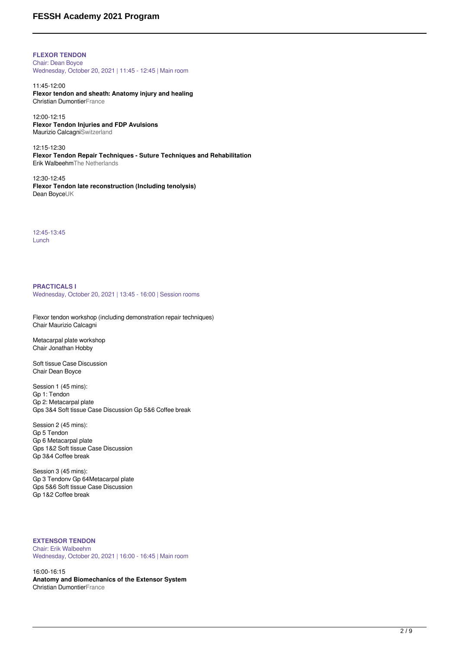## **FESSH Academy 2021 Program**

**FLEXOR TENDON** Chair: Dean Boyce Wednesday, October 20, 2021 | 11:45 - 12:45 | Main room

11:45-12:00 **Flexor tendon and sheath: Anatomy injury and healing** Christian DumontierFrance

12:00-12:15 **Flexor Tendon Injuries and FDP Avulsions** Maurizio CalcagniSwitzerland

12:15-12:30 **Flexor Tendon Repair Techniques - Suture Techniques and Rehabilitation** Erik WalbeehmThe Netherlands

12:30-12:45 **Flexor Tendon late reconstruction (Including tenolysis)** Dean BoyceUK

12:45-13:45 Lunch

**PRACTICALS I** Wednesday, October 20, 2021 | 13:45 - 16:00 | Session rooms

Flexor tendon workshop (including demonstration repair techniques) Chair Maurizio Calcagni

Metacarpal plate workshop Chair Jonathan Hobby

Soft tissue Case Discussion Chair Dean Boyce

Session 1 (45 mins): Gp 1: Tendon Gp 2: Metacarpal plate Gps 3&4 Soft tissue Case Discussion Gp 5&6 Coffee break

Session 2 (45 mins): Gp 5 Tendon Gp 6 Metacarpal plate Gps 1&2 Soft tissue Case Discussion Gp 3&4 Coffee break

Session 3 (45 mins): Gp 3 Tendonv Gp 64Metacarpal plate Gps 5&6 Soft tissue Case Discussion Gp 1&2 Coffee break

**EXTENSOR TENDON** Chair: Erik Walbeehm Wednesday, October 20, 2021 | 16:00 - 16:45 | Main room

16:00-16:15 **Anatomy and Biomechanics of the Extensor System** Christian DumontierFrance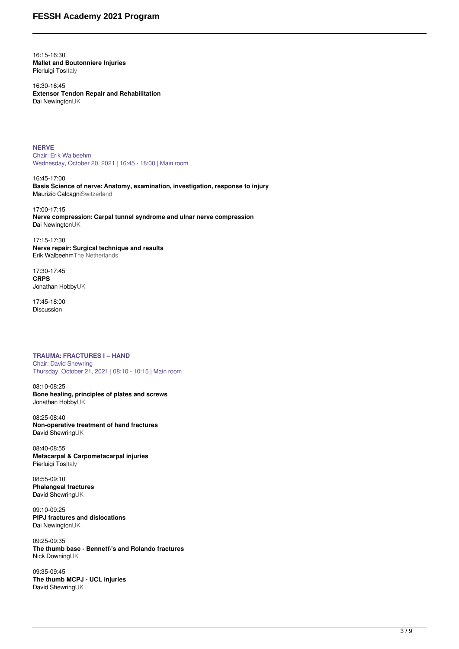16:15-16:30 **Mallet and Boutonniere Injuries** Pierluigi TosItaly

16:30-16:45 **Extensor Tendon Repair and Rehabilitation** Dai NewingtonUK

**NERVE** Chair: Erik Walbeehm Wednesday, October 20, 2021 | 16:45 - 18:00 | Main room

16:45-17:00 **Basis Science of nerve: Anatomy, examination, investigation, response to injury** Maurizio CalcagniSwitzerland

17:00-17:15 **Nerve compression: Carpal tunnel syndrome and ulnar nerve compression** Dai NewingtonUK

17:15-17:30 **Nerve repair: Surgical technique and results** Erik WalbeehmThe Netherlands

17:30-17:45 **CRPS** Jonathan HobbyUK

17:45-18:00 Discussion

**TRAUMA: FRACTURES I – HAND** Chair: David Shewring Thursday, October 21, 2021 | 08:10 - 10:15 | Main room

08:10-08:25 **Bone healing, principles of plates and screws** Jonathan HobbyUK

08:25-08:40 **Non-operative treatment of hand fractures** David ShewringUK

08:40-08:55 **Metacarpal & Carpometacarpal injuries** Pierluigi Tositaly

08:55-09:10 **Phalangeal fractures** David ShewringUK

09:10-09:25 **PIPJ fractures and dislocations** Dai NewingtonUK

09:25-09:35 **The thumb base - Bennett\'s and Rolando fractures** Nick DowningUK

09:35-09:45 **The thumb MCPJ - UCL injuries** David ShewringUK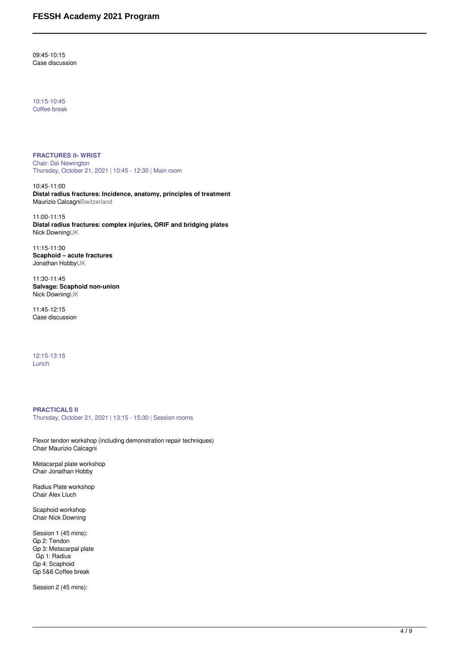09:45-10:15 Case discussion

10:15-10:45 Coffee break

**FRACTURES II- WRIST** Chair: Dai Newington Thursday, October 21, 2021 | 10:45 - 12:30 | Main room

10:45-11:00 **Distal radius fractures: Incidence, anatomy, principles of treatment** Maurizio CalcagniSwitzerland

11:00-11:15 **Distal radius fractures: complex injuries, ORIF and bridging plates** Nick DowningUK

11:15-11:30 **Scaphoid – acute fractures** Jonathan HobbyUK

11:30-11:45 **Salvage: Scaphoid non-union** Nick DowningUK

11:45-12:15 Case discussion

12:15-13:15 Lunch

### **PRACTICALS II**

Thursday, October 21, 2021 | 13:15 - 15:30 | Session rooms

Flexor tendon workshop (including demonstration repair techniques) Chair Maurizio Calcagni

Metacarpal plate workshop Chair Jonathan Hobby

Radius Plate workshop Chair Alex Lluch

Scaphoid workshop Chair Nick Downing

Session 1 (45 mins): Gp 2: Tendon Gp 3: Metacarpal plate Gp 1: Radius Gp 4: Scaphoid Gp 5&6 Coffee break

Session 2 (45 mins):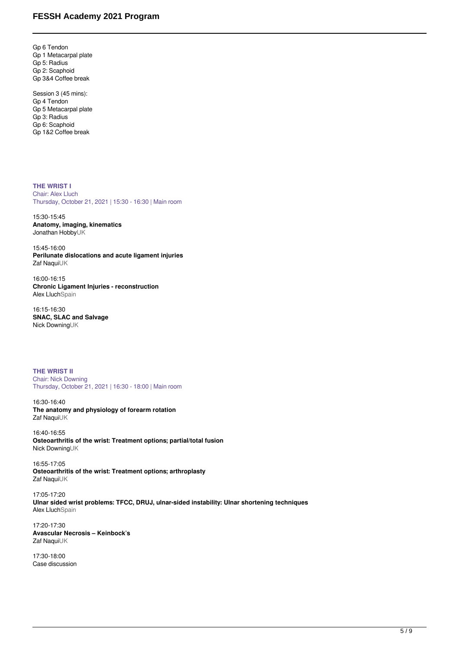Gp 6 Tendon Gp 1 Metacarpal plate Gp 5: Radius Gp 2: Scaphoid Gp 3&4 Coffee break

Session 3 (45 mins): Gp 4 Tendon Gp 5 Metacarpal plate Gp 3: Radius Gp 6: Scaphoid Gp 1&2 Coffee break

**THE WRIST I** Chair: Alex Lluch Thursday, October 21, 2021 | 15:30 - 16:30 | Main room

15:30-15:45 **Anatomy, imaging, kinematics** Jonathan HobbyUK

15:45-16:00 **Perilunate dislocations and acute ligament injuries** Zaf NaquiUK

16:00-16:15 **Chronic Ligament Injuries - reconstruction Alex LluchSpain** 

16:15-16:30 **SNAC, SLAC and Salvage** Nick DowningUK

**THE WRIST II** Chair: Nick Downing Thursday, October 21, 2021 | 16:30 - 18:00 | Main room

16:30-16:40 **The anatomy and physiology of forearm rotation** Zaf NaquiUK

16:40-16:55 **Osteoarthritis of the wrist: Treatment options; partial/total fusion** Nick DowningUK

16:55-17:05 **Osteoarthritis of the wrist: Treatment options; arthroplasty** Zaf NaquiUK

17:05-17:20 **Ulnar sided wrist problems: TFCC, DRUJ, ulnar-sided instability: Ulnar shortening techniques** Alex LluchSpain

17:20-17:30 **Avascular Necrosis – Keinbock's** Zaf NaquiUK

17:30-18:00 Case discussion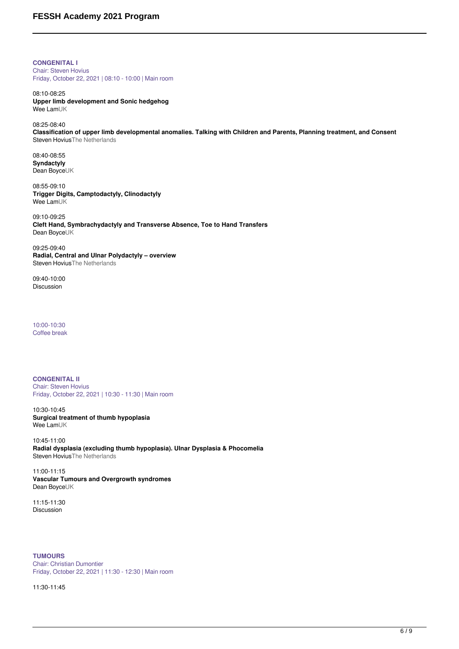**CONGENITAL I** Chair: Steven Hovius Friday, October 22, 2021 | 08:10 - 10:00 | Main room

08:10-08:25 **Upper limb development and Sonic hedgehog** Wee LamUK

08:25-08:40 **Classification of upper limb developmental anomalies. Talking with Children and Parents, Planning treatment, and Consent** Steven HoviusThe Netherlands

08:40-08:55 **Syndactyly** Dean BoyceUK

08:55-09:10 **Trigger Digits, Camptodactyly, Clinodactyly** Wee LamUK

09:10-09:25 **Cleft Hand, Symbrachydactyly and Transverse Absence, Toe to Hand Transfers** Dean BoyceUK

09:25-09:40 **Radial, Central and Ulnar Polydactyly – overview** Steven HoviusThe Netherlands

09:40-10:00 Discussion

10:00-10:30 Coffee break

**CONGENITAL II** Chair: Steven Hovius Friday, October 22, 2021 | 10:30 - 11:30 | Main room

10:30-10:45 **Surgical treatment of thumb hypoplasia** Wee LamUK

10:45-11:00 **Radial dysplasia (excluding thumb hypoplasia). Ulnar Dysplasia & Phocomelia** Steven HoviusThe Netherlands

11:00-11:15 **Vascular Tumours and Overgrowth syndromes** Dean BoyceUK

11:15-11:30 Discussion

**TUMOURS** Chair: Christian Dumontier Friday, October 22, 2021 | 11:30 - 12:30 | Main room

11:30-11:45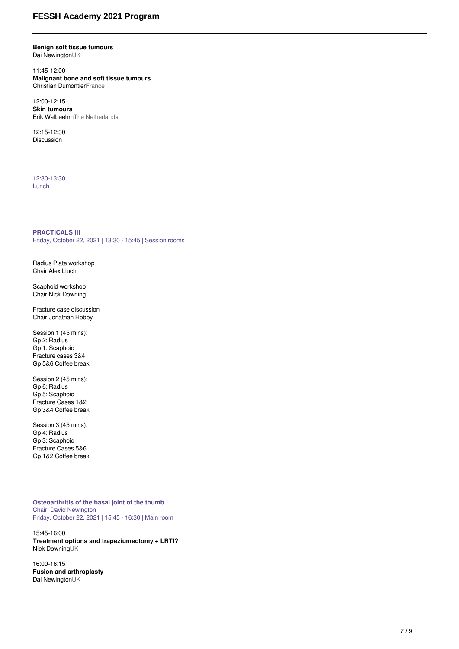# **FESSH Academy 2021 Program**

#### **Benign soft tissue tumours** Dai NewingtonUK

11:45-12:00 **Malignant bone and soft tissue tumours** Christian DumontierFrance

12:00-12:15 **Skin tumours** Erik WalbeehmThe Netherlands

12:15-12:30 Discussion

12:30-13:30 Lunch

#### **PRACTICALS III**

Friday, October 22, 2021 | 13:30 - 15:45 | Session rooms

Radius Plate workshop Chair Alex Lluch

Scaphoid workshop Chair Nick Downing

Fracture case discussion Chair Jonathan Hobby

Session 1 (45 mins): Gp 2: Radius Gp 1: Scaphoid Fracture cases 3&4 Gp 5&6 Coffee break

Session 2 (45 mins): Gp 6: Radius Gp 5: Scaphoid Fracture Cases 1&2 Gp 3&4 Coffee break

Session 3 (45 mins): Gp 4: Radius Gp 3: Scaphoid Fracture Cases 5&6 Gp 1&2 Coffee break

**Osteoarthritis of the basal joint of the thumb** Chair: David Newington Friday, October 22, 2021 | 15:45 - 16:30 | Main room

15:45-16:00 **Treatment options and trapeziumectomy + LRTI?** Nick DowningUK

16:00-16:15 **Fusion and arthroplasty** Dai NewingtonUK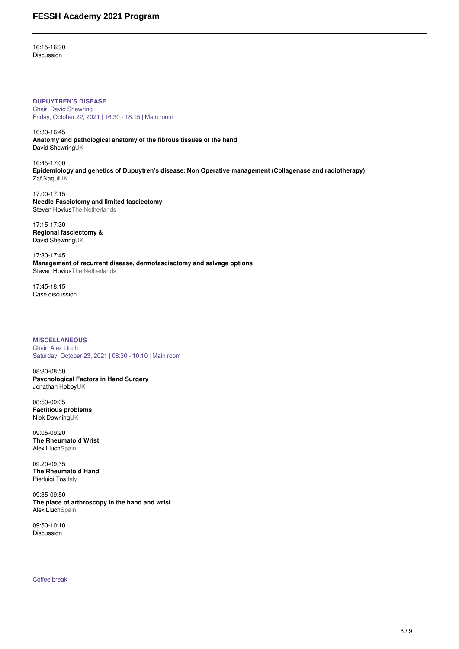16:15-16:30 Discussion

**DUPUYTREN'S DISEASE** Chair: David Shewring Friday, October 22, 2021 | 16:30 - 18:15 | Main room

16:30-16:45 **Anatomy and pathological anatomy of the fibrous tissues of the hand** David ShewringUK

16:45-17:00 **Epidemiology and genetics of Dupuytren's disease: Non Operative management (Collagenase and radiotherapy)** Zaf NaquiUK

17:00-17:15 **Needle Fasciotomy and limited fasciectomy** Steven HoviusThe Netherlands

17:15-17:30 **Regional fasciectomy &** David ShewringUK

17:30-17:45 **Management of recurrent disease, dermofasciectomy and salvage options** Steven HoviusThe Netherlands

17:45-18:15 Case discussion

**MISCELLANEOUS** Chair: Alex Lluch Saturday, October 23, 2021 | 08:30 - 10:10 | Main room

08:30-08:50 **Psychological Factors in Hand Surgery** Jonathan HobbyUK

08:50-09:05 **Factitious problems** Nick DowningUK

09:05-09:20 **The Rheumatoid Wrist** Alex LluchSpain

09:20-09:35 **The Rheumatoid Hand** Pierluigi TosItaly

09:35-09:50 **The place of arthroscopy in the hand and wrist** Alex LluchSpain

09:50-10:10 Discussion

Coffee break